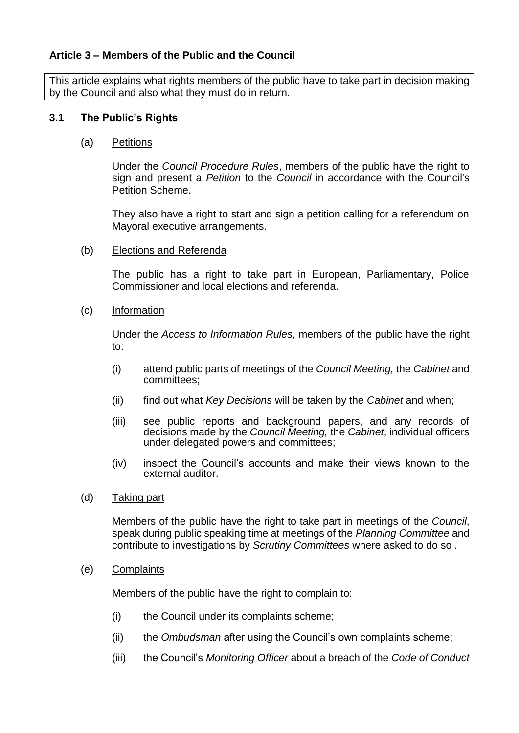## **Article 3 – Members of the Public and the Council**

This article explains what rights members of the public have to take part in decision making by the Council and also what they must do in return.

## **3.1 The Public's Rights**

(a) Petitions

Under the *Council Procedure Rules*, members of the public have the right to sign and present a *Petition* to the *Council* in accordance with the Council's Petition Scheme.

They also have a right to start and sign a petition calling for a referendum on Mayoral executive arrangements.

(b) Elections and Referenda

The public has a right to take part in European, Parliamentary, Police Commissioner and local elections and referenda.

(c) Information

Under the *Access to Information Rules,* members of the public have the right to:

- (i) attend public parts of meetings of the *Council Meeting,* the *Cabinet* and committees;
- (ii) find out what *Key Decisions* will be taken by the *Cabinet* and when;
- (iii) see public reports and background papers, and any records of decisions made by the *Council Meeting,* the *Cabinet*, individual officers under delegated powers and committees;
- (iv) inspect the Council's accounts and make their views known to the external auditor.
- (d) Taking part

Members of the public have the right to take part in meetings of the *Council*, speak during public speaking time at meetings of the *Planning Committee* and contribute to investigations by *Scrutiny Committees* where asked to do so *.*

(e) Complaints

Members of the public have the right to complain to:

- (i) the Council under its complaints scheme;
- (ii) the *Ombudsman* after using the Council's own complaints scheme;
- (iii) the Council's *Monitoring Officer* about a breach of the *Code of Conduct*